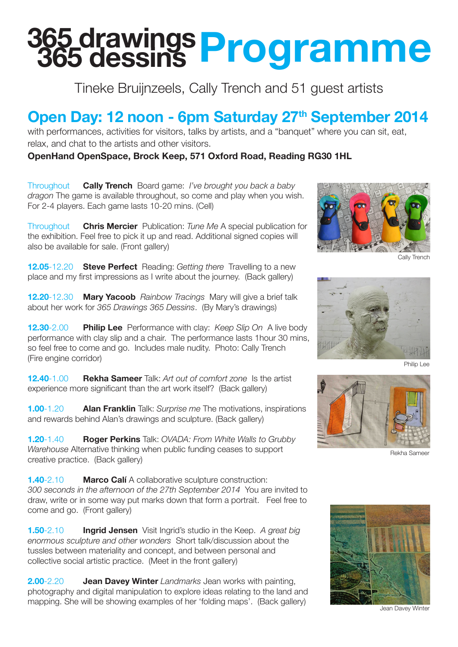## **365 drawings 365 dessins Programme**

Tineke Bruijnzeels, Cally Trench and 51 guest artists

## Open Day: 12 noon - 6pm Saturday 27<sup>th</sup> September 2014

with performances, activities for visitors, talks by artists, and a "banquet" where you can sit, eat, relax, and chat to the artists and other visitors.

**OpenHand OpenSpace, Brock Keep, 571 Oxford Road, Reading RG30 1HL**

Throughout **Cally Trench** Board game: *I've brought you back a baby dragon* The game is available throughout, so come and play when you wish. For 2-4 players. Each game lasts 10-20 mins. (Cell)

Throughout **Chris Mercier** Publication: *Tune Me* A special publication for the exhibition. Feel free to pick it up and read. Additional signed copies will also be available for sale. (Front gallery)

**12.05**-12.20 **Steve Perfect** Reading: *Getting there* Travelling to a new place and my first impressions as I write about the journey. (Back gallery)

**12.20**-12.30 **Mary Yacoob** *Rainbow Tracings* Mary will give a brief talk about her work for *365 Drawings 365 Dessins*. (By Mary's drawings)

**12.30**-2.00 **Philip Lee** Performance with clay: *Keep Slip On* A live body performance with clay slip and a chair. The performance lasts 1hour 30 mins, so feel free to come and go. Includes male nudity. Photo: Cally Trench (Fire engine corridor)

**12.40**-1.00 **Rekha Sameer** Talk: *Art out of comfort zone* Is the artist experience more significant than the art work itself? (Back gallery)

**1.00**-1.20 **Alan Franklin** Talk: *Surprise me* The motivations, inspirations and rewards behind Alan's drawings and sculpture. (Back gallery)

**1.20**-1.40 **Roger Perkins** Talk: *OVADA: From White Walls to Grubby Warehouse* Alternative thinking when public funding ceases to support creative practice. (Back gallery)

**1.40**-2.10 **Marco Calí** A collaborative sculpture construction: *300 seconds in the afternoon of the 27th September 2014* You are invited to draw, write or in some way put marks down that form a portrait. Feel free to come and go. (Front gallery)

**1.50**-2.10 **Ingrid Jensen** Visit Ingrid's studio in the Keep. *A great big enormous sculpture and other wonders* Short talk/discussion about the tussles between materiality and concept, and between personal and collective social artistic practice. (Meet in the front gallery)

**2.00**-2.20 **Jean Davey Winter** *Landmarks* Jean works with painting, photography and digital manipulation to explore ideas relating to the land and mapping. She will be showing examples of her 'folding maps'. (Back gallery)



Cally Trench



Philip Lee



Rekha Sameer



Jean Davey Winter